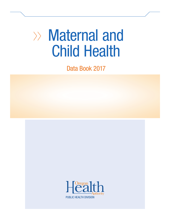## Maternal and Child Health

Data Book 2017

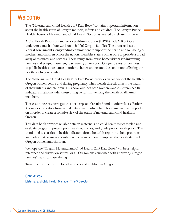## **Welcome**

The "Maternal and Child Health 2017 Data Book" contains important information about the health status of Oregon mothers, infants and children. The Oregon Public Health Division's Maternal and Child Health Section is pleased to release this book.

A U.S. Health Resources and Services Administration (HRSA) Title V Block Grant underwrote much of our work on behalf of Oregon families. The grant reflects the federal government's longstanding commitment to support the health and well-being of mothers and children across the nation. It enables states such as ours to provide a broad array of resources and services. These range from nurse home visitors serving young families and pregnant women, to screening all newborn Oregon babies for deafness, to public health surveillance in order to better understand the conditions affecting the health of Oregon families.

The "Maternal and Child Health 2017 Data Book" provides an overview of the health of Oregon women before and during pregnancy. Their health directly affects the health of their infants and children. This book outlines both women's and children's health indicators. It also includes crosscutting factors influencing the health of all family members.

This easy-to-use resource guide is not a repeat of results found in other places. Rather, it compiles indicators from varied data sources, which have been analyzed and reported on in order to create a cohesive view of the status of maternal and child health in Oregon.

This data book provides reliable data on maternal and child health issues to plan and evaluate programs, prevent poor health outcomes, and guide public health policy. The trends and disparities in health indicators throughout this report can help programs and policymakers make data-driven decisions on how to improve the health status of Oregon women and children.

We hope the "Oregon Maternal and Child Health 2017 Data Book" will be a helpful reference and discussion source for all Oregonians concerned with improving Oregon families' health and well-being.

Toward a healthier future for all mothers and children in Oregon,

Cate Wilcox Maternal and Child Health Manager, Title V Director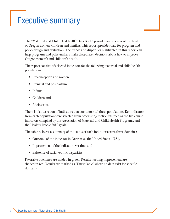## Executive summary

The "Maternal and Child Health 2017 Data Book" provides an overview of the health of Oregon women, children and families. This report provides data for program and policy design and evaluation. The trends and disparities highlighted in this report can help programs and policymakers make data-driven decisions about how to improve Oregon women's and children's health.

The report consists of selected indicators for the following maternal and child health populations:

- Preconception and women
- Prenatal and postpartum
- Infants
- Children and
- Adolescents.

There is also a section of indicators that cuts across all these populations. Key indicators from each population were selected from preexisting metric lists such as the life course indicators compiled by the Association of Maternal and Child Health Programs, and the Healthy People 2020 goals.

The table below is a summary of the status of each indicator across three domains:

- Outcome of the indicator in Oregon vs. the United States (U.S.),
- Improvement of the indicator over time and
- Existence of racial/ethnic disparities.

Favorable outcomes are shaded in green. Results needing improvement are shaded in red. Results are marked as "Unavailable" where no data exist for specific domains.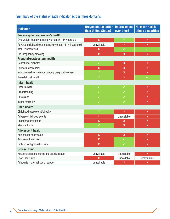## Summary of the status of each indicator across three domains

| <b>Indicator</b>                                     | <b>Oregon status better</b><br>than United States? | <b>Improvement</b><br>over time? | No clear racial/<br>ethnic disparities |
|------------------------------------------------------|----------------------------------------------------|----------------------------------|----------------------------------------|
| <b>Preconception and women's health</b>              |                                                    |                                  |                                        |
| Overweight/obesity among women 18-44 years old       | $\overline{\mathbf{X}}$                            | $\checkmark$                     | $\overline{\mathbf{X}}$                |
| Adverse childhood events among women 18-44 years old | Unavailable                                        | $\pmb{\mathsf{x}}$               | $\mathbf x$                            |
| Well-woman visit                                     | $\overline{\mathbf{x}}$                            | $\checkmark$                     | ✓                                      |
| Pre-pregnancy smoking                                | $\pmb{\mathsf{X}}$                                 | $\pmb{\mathsf{x}}$               | $\pmb{\mathsf{x}}$                     |
| <b>Prenatal/postpartum health</b>                    |                                                    |                                  |                                        |
| <b>Gestational diabetes</b>                          | $\checkmark$                                       | $\mathbf x$                      | $\mathbf x$                            |
| Perinatal depression                                 | $\bar{\mathbf{x}}$                                 | $\mathbf{x}$                     | $\mathbf{x}$                           |
| Intimate partner violence among pregnant women       | $\checkmark$                                       | $\mathbf x$                      | $\mathbf x$                            |
| Prenatal oral health                                 | $\checkmark$                                       | $\bar{\mathbf{x}}$               | $\checkmark$                           |
| <b>Infant health</b>                                 |                                                    |                                  |                                        |
| Preterm birth                                        | $\checkmark$                                       | $\checkmark$                     | $\mathbf x$                            |
| <b>Breastfeeding</b>                                 | $\checkmark$                                       | $\checkmark$                     | $\mathbf x$                            |
| Safe sleep                                           | $\checkmark$                                       | $\checkmark$                     | $\mathbf{x}$                           |
| Infant mortality                                     | $\checkmark$                                       | $\checkmark$                     | $\mathbf x$                            |
| <b>Child health</b>                                  |                                                    |                                  |                                        |
| Childhood overweight/obesity                         | $\checkmark$                                       | $\mathbf x$                      | $\overline{\mathbf{X}}$                |
| Adverse childhood events                             | $\pmb{\mathsf{X}}$                                 | Unavailable                      | $\mathbf x$                            |
| Childhood oral health                                | $\bar{\mathbf{x}}$                                 | $\mathbf x$                      | $\overline{\mathbf{X}}$                |
| <b>Medical home</b>                                  | $\checkmark$                                       | $\mathbf x$                      | $\mathbf x$                            |
| <b>Adolescent health</b>                             |                                                    |                                  |                                        |
| Adolescent depression                                | $\pmb{\mathsf{X}}$                                 | $\pmb{\mathsf{x}}$               | $\mathbf x$                            |
| Adolescent well visit                                | $\overline{\mathbf{x}}$                            | $\checkmark$                     | $\mathbf{x}$                           |
| High school graduation rate                          | $\mathbf x$                                        | $\checkmark$                     | $\mathbf{x}$                           |
| <b>Crosscutting</b>                                  |                                                    |                                  |                                        |
| Households at concentrated disadvantage              | Unavailable                                        | Unavailable                      | $\overline{\mathbf{X}}$                |
| Food insecurity                                      | $\overline{\mathbf{x}}$                            | Unavailable                      | Unavailable                            |
| Adequate maternal social support                     | Unavailable                                        | $\mathbf x$                      | X                                      |